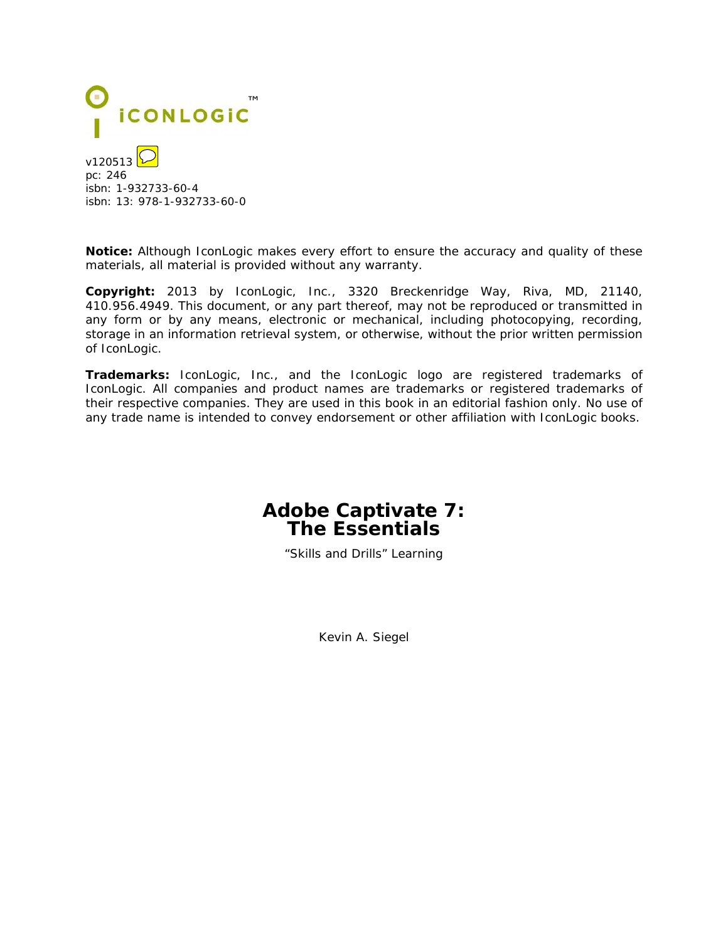

isbn: 1-932733-60-4 isbn: 13: 978-1-932733-60-0

**Notice:** Although IconLogic makes every effort to ensure the accuracy and quality of these materials, all material is provided without any warranty.

**Copyright:** 2013 by IconLogic, Inc., 3320 Breckenridge Way, Riva, MD, 21140, 410.956.4949. This document, or any part thereof, may not be reproduced or transmitted in any form or by any means, electronic or mechanical, including photocopying, recording, storage in an information retrieval system, or otherwise, without the prior written permission of IconLogic.

**Trademarks:** IconLogic, Inc., and the IconLogic logo are registered trademarks of IconLogic. All companies and product names are trademarks or registered trademarks of their respective companies. They are used in this book in an editorial fashion only. No use of any trade name is intended to convey endorsement or other affiliation with IconLogic books.

## **Adobe Captivate 7: The Essentials**

"Skills and Drills" Learning

Kevin A. Siegel